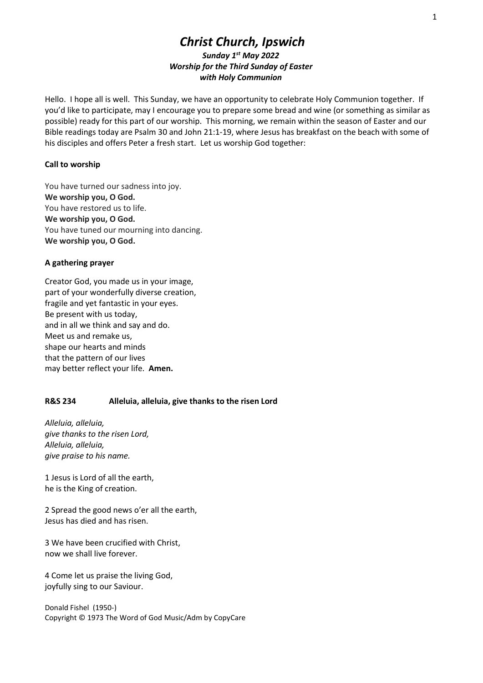# Christ Church, Ipswich Sunday 1st May 2022 Worship for the Third Sunday of Easter with Holy Communion

Hello. I hope all is well. This Sunday, we have an opportunity to celebrate Holy Communion together. If you'd like to participate, may I encourage you to prepare some bread and wine (or something as similar as possible) ready for this part of our worship. This morning, we remain within the season of Easter and our Bible readings today are Psalm 30 and John 21:1-19, where Jesus has breakfast on the beach with some of his disciples and offers Peter a fresh start. Let us worship God together:

# Call to worship

You have turned our sadness into joy. We worship you, O God. You have restored us to life. We worship you, O God. You have tuned our mourning into dancing. We worship you, O God.

# A gathering prayer

Creator God, you made us in your image, part of your wonderfully diverse creation, fragile and yet fantastic in your eyes. Be present with us today, and in all we think and say and do. Meet us and remake us, shape our hearts and minds that the pattern of our lives may better reflect your life. Amen.

# R&S 234 Alleluia, alleluia, give thanks to the risen Lord

Alleluia, alleluia, give thanks to the risen Lord, Alleluia, alleluia, give praise to his name.

1 Jesus is Lord of all the earth, he is the King of creation.

2 Spread the good news o'er all the earth, Jesus has died and has risen.

3 We have been crucified with Christ, now we shall live forever.

4 Come let us praise the living God, joyfully sing to our Saviour.

Donald Fishel (1950-) Copyright © 1973 The Word of God Music/Adm by CopyCare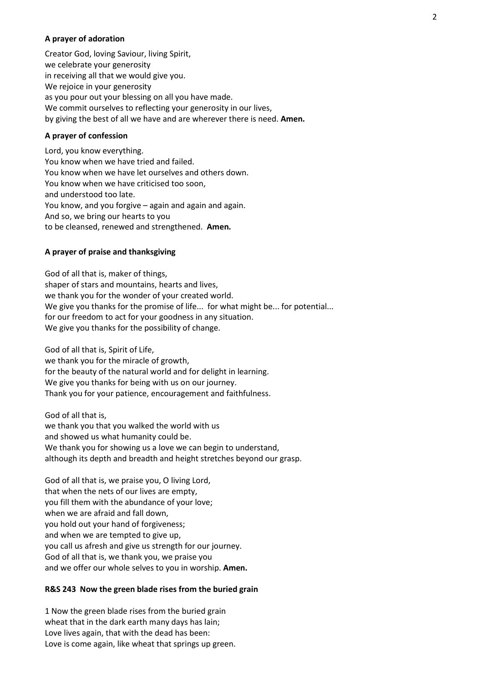# A prayer of adoration

Creator God, loving Saviour, living Spirit, we celebrate your generosity in receiving all that we would give you. We rejoice in your generosity as you pour out your blessing on all you have made. We commit ourselves to reflecting your generosity in our lives, by giving the best of all we have and are wherever there is need. Amen.

#### A prayer of confession

Lord, you know everything. You know when we have tried and failed. You know when we have let ourselves and others down. You know when we have criticised too soon, and understood too late. You know, and you forgive – again and again and again. And so, we bring our hearts to you to be cleansed, renewed and strengthened. Amen.

# A prayer of praise and thanksgiving

God of all that is, maker of things, shaper of stars and mountains, hearts and lives, we thank you for the wonder of your created world.  We give you thanks for the promise of life... for what might be... for potential... for our freedom to act for your goodness in any situation.  We give you thanks for the possibility of change.

God of all that is, Spirit of Life,

we thank you for the miracle of growth, for the beauty of the natural world and for delight in learning.  We give you thanks for being with us on our journey. Thank you for your patience, encouragement and faithfulness.

God of all that is, we thank you that you walked the world with us and showed us what humanity could be.  We thank you for showing us a love we can begin to understand, although its depth and breadth and height stretches beyond our grasp.

God of all that is, we praise you, O living Lord, that when the nets of our lives are empty, you fill them with the abundance of your love; when we are afraid and fall down, you hold out your hand of forgiveness; and when we are tempted to give up, you call us afresh and give us strength for our journey. God of all that is, we thank you, we praise you and we offer our whole selves to you in worship. Amen.

# R&S 243 Now the green blade rises from the buried grain

1 Now the green blade rises from the buried grain wheat that in the dark earth many days has lain; Love lives again, that with the dead has been: Love is come again, like wheat that springs up green.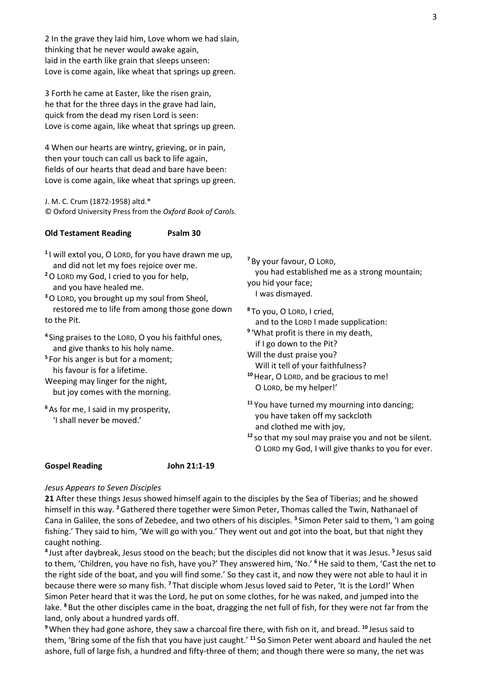2 In the grave they laid him, Love whom we had slain, thinking that he never would awake again, laid in the earth like grain that sleeps unseen: Love is come again, like wheat that springs up green.

3 Forth he came at Easter, like the risen grain, he that for the three days in the grave had lain, quick from the dead my risen Lord is seen: Love is come again, like wheat that springs up green.

4 When our hearts are wintry, grieving, or in pain, then your touch can call us back to life again, fields of our hearts that dead and bare have been: Love is come again, like wheat that springs up green.

J. M. C. Crum (1872-1958) altd.\* © Oxford University Press from the Oxford Book of Carols.

# Old Testament Reading Psalm 30

 $11$  will extol you, O LORD, for you have drawn me up, and did not let my foes rejoice over me.

<sup>2</sup>O LORD my God, I cried to you for help, and you have healed me.

<sup>3</sup>O LORD, you brought up my soul from Sheol, restored me to life from among those gone down to the Pit.

- <sup>4</sup>Sing praises to the LORD, O you his faithful ones, and give thanks to his holy name.
- <sup>5</sup> For his anger is but for a moment; his favour is for a lifetime.
- Weeping may linger for the night, but joy comes with the morning.
- <sup>6</sup>As for me, I said in my prosperity, 'I shall never be moved.'

<sup>7</sup>By your favour, O LORD, you had established me as a strong mountain; you hid your face; I was dismayed.

<sup>8</sup>To you, O LORD, I cried, and to the LORD I made supplication: <sup>9</sup>'What profit is there in my death,

- if I go down to the Pit? Will the dust praise you?
- Will it tell of your faithfulness? <sup>10</sup> Hear, O LORD, and be gracious to me!

O LORD, be my helper!'

<sup>11</sup> You have turned my mourning into dancing; you have taken off my sackcloth and clothed me with joy,

 $12$  so that my soul may praise you and not be silent. O LORD my God, I will give thanks to you for ever.

# Gospel Reading John 21:1-19

#### Jesus Appears to Seven Disciples

21 After these things Jesus showed himself again to the disciples by the Sea of Tiberias; and he showed himself in this way. <sup>2</sup> Gathered there together were Simon Peter, Thomas called the Twin, Nathanael of Cana in Galilee, the sons of Zebedee, and two others of his disciples. <sup>3</sup> Simon Peter said to them, 'I am going fishing.' They said to him, 'We will go with you.' They went out and got into the boat, but that night they caught nothing.

<sup>4</sup> Just after daybreak, Jesus stood on the beach; but the disciples did not know that it was Jesus. <sup>5</sup> Jesus said to them, 'Children, you have no fish, have you?' They answered him, 'No.' <sup>6</sup> He said to them, 'Cast the net to the right side of the boat, and you will find some.' So they cast it, and now they were not able to haul it in because there were so many fish. <sup>7</sup>That disciple whom Jesus loved said to Peter, 'It is the Lord!' When Simon Peter heard that it was the Lord, he put on some clothes, for he was naked, and jumped into the lake. <sup>8</sup> But the other disciples came in the boat, dragging the net full of fish, for they were not far from the land, only about a hundred yards off.

<sup>9</sup> When they had gone ashore, they saw a charcoal fire there, with fish on it, and bread. <sup>10</sup> Jesus said to them, 'Bring some of the fish that you have just caught.' <sup>11</sup> So Simon Peter went aboard and hauled the net ashore, full of large fish, a hundred and fifty-three of them; and though there were so many, the net was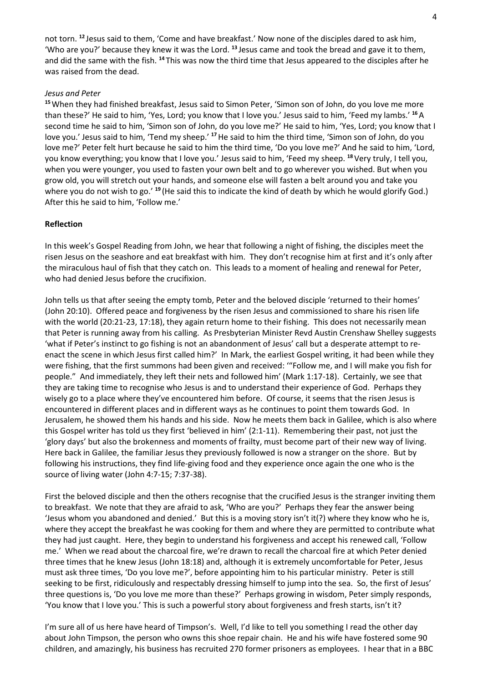not torn. <sup>12</sup> Jesus said to them, 'Come and have breakfast.' Now none of the disciples dared to ask him, 'Who are you?' because they knew it was the Lord. <sup>13</sup> Jesus came and took the bread and gave it to them, and did the same with the fish. <sup>14</sup>This was now the third time that Jesus appeared to the disciples after he was raised from the dead.

# Jesus and Peter

<sup>15</sup> When they had finished breakfast, Jesus said to Simon Peter, 'Simon son of John, do you love me more than these?' He said to him, 'Yes, Lord; you know that I love you.' Jesus said to him, 'Feed my lambs.' <sup>16</sup>A second time he said to him, 'Simon son of John, do you love me?' He said to him, 'Yes, Lord; you know that I love you.' Jesus said to him, 'Tend my sheep.' <sup>17</sup> He said to him the third time, 'Simon son of John, do you love me?' Peter felt hurt because he said to him the third time, 'Do you love me?' And he said to him, 'Lord, you know everything; you know that I love you.' Jesus said to him, 'Feed my sheep. <sup>18</sup> Very truly, I tell you, when you were younger, you used to fasten your own belt and to go wherever you wished. But when you grow old, you will stretch out your hands, and someone else will fasten a belt around you and take you where you do not wish to go.' <sup>19</sup> (He said this to indicate the kind of death by which he would glorify God.) After this he said to him, 'Follow me.'

# Reflection

In this week's Gospel Reading from John, we hear that following a night of fishing, the disciples meet the risen Jesus on the seashore and eat breakfast with him. They don't recognise him at first and it's only after the miraculous haul of fish that they catch on. This leads to a moment of healing and renewal for Peter, who had denied Jesus before the crucifixion.

John tells us that after seeing the empty tomb, Peter and the beloved disciple 'returned to their homes' (John 20:10). Offered peace and forgiveness by the risen Jesus and commissioned to share his risen life with the world (20:21-23, 17:18), they again return home to their fishing. This does not necessarily mean that Peter is running away from his calling. As Presbyterian Minister Revd Austin Crenshaw Shelley suggests 'what if Peter's instinct to go fishing is not an abandonment of Jesus' call but a desperate attempt to reenact the scene in which Jesus first called him?' In Mark, the earliest Gospel writing, it had been while they were fishing, that the first summons had been given and received: '"Follow me, and I will make you fish for people." And immediately, they left their nets and followed him' (Mark 1:17-18). Certainly, we see that they are taking time to recognise who Jesus is and to understand their experience of God. Perhaps they wisely go to a place where they've encountered him before. Of course, it seems that the risen Jesus is encountered in different places and in different ways as he continues to point them towards God. In Jerusalem, he showed them his hands and his side. Now he meets them back in Galilee, which is also where this Gospel writer has told us they first 'believed in him' (2:1-11). Remembering their past, not just the 'glory days' but also the brokenness and moments of frailty, must become part of their new way of living. Here back in Galilee, the familiar Jesus they previously followed is now a stranger on the shore. But by following his instructions, they find life-giving food and they experience once again the one who is the source of living water (John 4:7-15; 7:37-38).

First the beloved disciple and then the others recognise that the crucified Jesus is the stranger inviting them to breakfast. We note that they are afraid to ask, 'Who are you?' Perhaps they fear the answer being 'Jesus whom you abandoned and denied.' But this is a moving story isn't it(?) where they know who he is, where they accept the breakfast he was cooking for them and where they are permitted to contribute what they had just caught. Here, they begin to understand his forgiveness and accept his renewed call, 'Follow me.' When we read about the charcoal fire, we're drawn to recall the charcoal fire at which Peter denied three times that he knew Jesus (John 18:18) and, although it is extremely uncomfortable for Peter, Jesus must ask three times, 'Do you love me?', before appointing him to his particular ministry. Peter is still seeking to be first, ridiculously and respectably dressing himself to jump into the sea. So, the first of Jesus' three questions is, 'Do you love me more than these?' Perhaps growing in wisdom, Peter simply responds, 'You know that I love you.' This is such a powerful story about forgiveness and fresh starts, isn't it?

I'm sure all of us here have heard of Timpson's. Well, I'd like to tell you something I read the other day about John Timpson, the person who owns this shoe repair chain. He and his wife have fostered some 90 children, and amazingly, his business has recruited 270 former prisoners as employees. I hear that in a BBC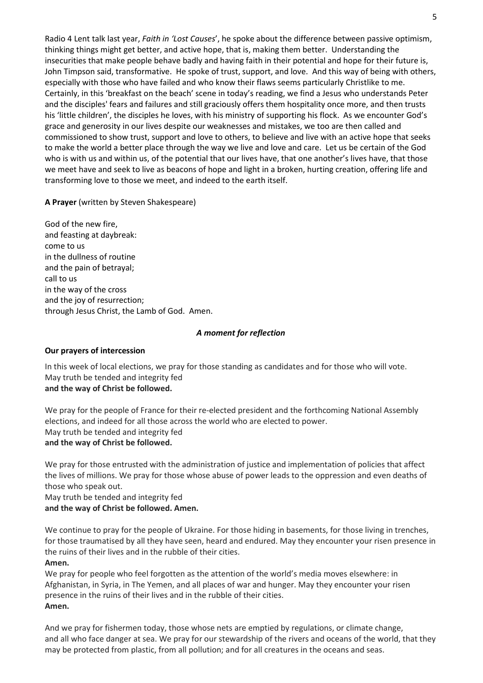Radio 4 Lent talk last year, Faith in 'Lost Causes', he spoke about the difference between passive optimism, thinking things might get better, and active hope, that is, making them better. Understanding the insecurities that make people behave badly and having faith in their potential and hope for their future is, John Timpson said, transformative. He spoke of trust, support, and love. And this way of being with others, especially with those who have failed and who know their flaws seems particularly Christlike to me. Certainly, in this 'breakfast on the beach' scene in today's reading, we find a Jesus who understands Peter and the disciples' fears and failures and still graciously offers them hospitality once more, and then trusts his 'little children', the disciples he loves, with his ministry of supporting his flock. As we encounter God's grace and generosity in our lives despite our weaknesses and mistakes, we too are then called and commissioned to show trust, support and love to others, to believe and live with an active hope that seeks to make the world a better place through the way we live and love and care. Let us be certain of the God who is with us and within us, of the potential that our lives have, that one another's lives have, that those we meet have and seek to live as beacons of hope and light in a broken, hurting creation, offering life and transforming love to those we meet, and indeed to the earth itself.

A Prayer (written by Steven Shakespeare)

God of the new fire, and feasting at daybreak: come to us in the dullness of routine and the pain of betrayal; call to us in the way of the cross and the joy of resurrection; through Jesus Christ, the Lamb of God. Amen.

# A moment for reflection

# Our prayers of intercession

In this week of local elections, we pray for those standing as candidates and for those who will vote. May truth be tended and integrity fed and the way of Christ be followed.

We pray for the people of France for their re-elected president and the forthcoming National Assembly elections, and indeed for all those across the world who are elected to power. May truth be tended and integrity fed and the way of Christ be followed.

We pray for those entrusted with the administration of justice and implementation of policies that affect the lives of millions. We pray for those whose abuse of power leads to the oppression and even deaths of those who speak out.

May truth be tended and integrity fed and the way of Christ be followed. Amen.

We continue to pray for the people of Ukraine. For those hiding in basements, for those living in trenches, for those traumatised by all they have seen, heard and endured. May they encounter your risen presence in the ruins of their lives and in the rubble of their cities. Amen.

We pray for people who feel forgotten as the attention of the world's media moves elsewhere: in Afghanistan, in Syria, in The Yemen, and all places of war and hunger. May they encounter your risen presence in the ruins of their lives and in the rubble of their cities. Amen.

And we pray for fishermen today, those whose nets are emptied by regulations, or climate change, and all who face danger at sea. We pray for our stewardship of the rivers and oceans of the world, that they may be protected from plastic, from all pollution; and for all creatures in the oceans and seas.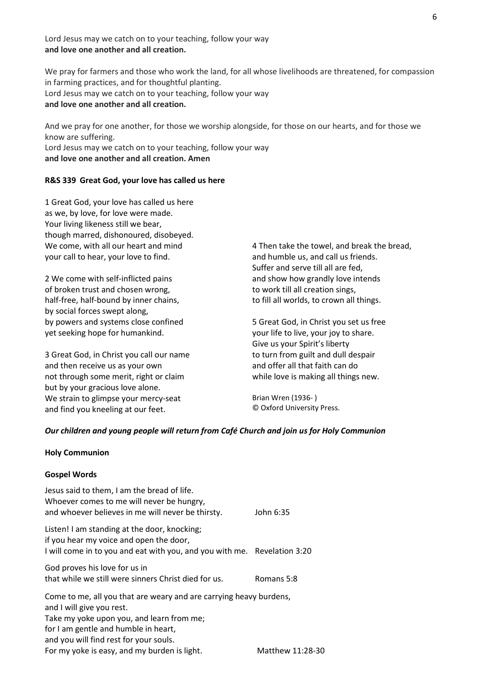Lord Jesus may we catch on to your teaching, follow your way and love one another and all creation.

We pray for farmers and those who work the land, for all whose livelihoods are threatened, for compassion in farming practices, and for thoughtful planting. Lord Jesus may we catch on to your teaching, follow your way and love one another and all creation.

And we pray for one another, for those we worship alongside, for those on our hearts, and for those we know are suffering. Lord Jesus may we catch on to your teaching, follow your way and love one another and all creation. Amen

# R&S 339 Great God, your love has called us here

1 Great God, your love has called us here as we, by love, for love were made. Your living likeness still we bear, though marred, dishonoured, disobeyed. We come, with all our heart and mind your call to hear, your love to find.

2 We come with self-inflicted pains of broken trust and chosen wrong, half-free, half-bound by inner chains, by social forces swept along, by powers and systems close confined yet seeking hope for humankind.

3 Great God, in Christ you call our name and then receive us as your own not through some merit, right or claim but by your gracious love alone. We strain to glimpse your mercy-seat and find you kneeling at our feet.

4 Then take the towel, and break the bread, and humble us, and call us friends. Suffer and serve till all are fed, and show how grandly love intends to work till all creation sings, to fill all worlds, to crown all things.

5 Great God, in Christ you set us free your life to live, your joy to share. Give us your Spirit's liberty to turn from guilt and dull despair and offer all that faith can do while love is making all things new.

Brian Wren (1936- ) © Oxford University Press.

# Our children and young people will return from Café Church and join us for Holy Communion

#### Holy Communion

#### Gospel Words

| Jesus said to them, I am the bread of life.<br>Whoever comes to me will never be hungry,<br>and whoever believes in me will never be thirsty.                                                                                  | John 6:35  |
|--------------------------------------------------------------------------------------------------------------------------------------------------------------------------------------------------------------------------------|------------|
| Listen! I am standing at the door, knocking;<br>if you hear my voice and open the door,<br>I will come in to you and eat with you, and you with me. Revelation 3:20                                                            |            |
| God proves his love for us in<br>that while we still were sinners Christ died for us.                                                                                                                                          | Romans 5:8 |
| Come to me, all you that are weary and are carrying heavy burdens,<br>and I will give you rest.<br>Take my yoke upon you, and learn from me;<br>for I am gentle and humble in heart,<br>and you will find rest for your souls. |            |

For my yoke is easy, and my burden is light. Matthew 11:28-30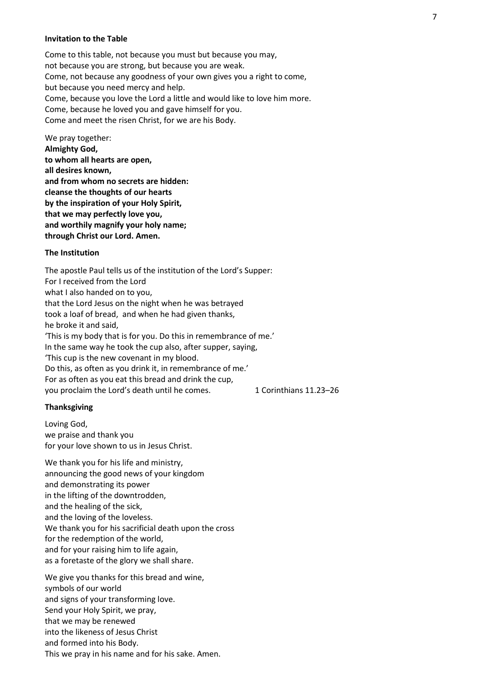#### Invitation to the Table

Come to this table, not because you must but because you may, not because you are strong, but because you are weak. Come, not because any goodness of your own gives you a right to come, but because you need mercy and help. Come, because you love the Lord a little and would like to love him more. Come, because he loved you and gave himself for you. Come and meet the risen Christ, for we are his Body.

We pray together: Almighty God, to whom all hearts are open, all desires known, and from whom no secrets are hidden: cleanse the thoughts of our hearts by the inspiration of your Holy Spirit, that we may perfectly love you, and worthily magnify your holy name; through Christ our Lord. Amen.

#### The Institution

The apostle Paul tells us of the institution of the Lord's Supper: For I received from the Lord what I also handed on to you, that the Lord Jesus on the night when he was betrayed took a loaf of bread, and when he had given thanks, he broke it and said, 'This is my body that is for you. Do this in remembrance of me.' In the same way he took the cup also, after supper, saying, 'This cup is the new covenant in my blood. Do this, as often as you drink it, in remembrance of me.' For as often as you eat this bread and drink the cup, you proclaim the Lord's death until he comes. 1 Corinthians 11.23-26

#### **Thanksgiving**

Loving God, we praise and thank you for your love shown to us in Jesus Christ.

We thank you for his life and ministry, announcing the good news of your kingdom and demonstrating its power in the lifting of the downtrodden, and the healing of the sick, and the loving of the loveless. We thank you for his sacrificial death upon the cross for the redemption of the world, and for your raising him to life again, as a foretaste of the glory we shall share.

We give you thanks for this bread and wine, symbols of our world and signs of your transforming love. Send your Holy Spirit, we pray, that we may be renewed into the likeness of Jesus Christ and formed into his Body. This we pray in his name and for his sake. Amen.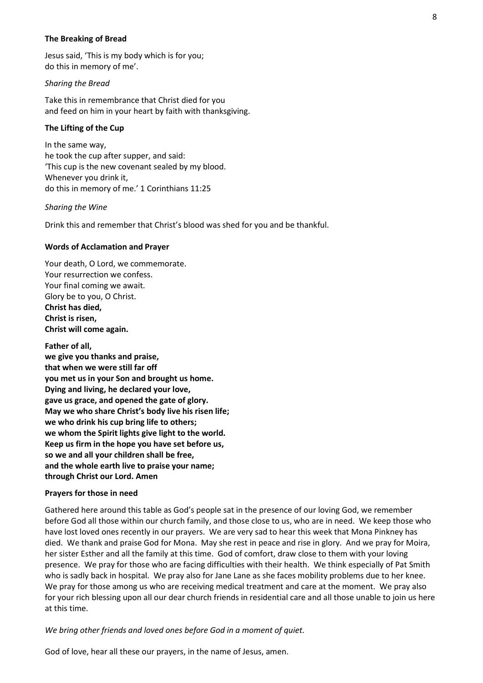# The Breaking of Bread

Jesus said, 'This is my body which is for you; do this in memory of me'.

#### Sharing the Bread

Take this in remembrance that Christ died for you and feed on him in your heart by faith with thanksgiving.

# The Lifting of the Cup

In the same way, he took the cup after supper, and said: 'This cup is the new covenant sealed by my blood. Whenever you drink it, do this in memory of me.' 1 Corinthians 11:25

#### Sharing the Wine

Drink this and remember that Christ's blood was shed for you and be thankful.

#### Words of Acclamation and Prayer

Your death, O Lord, we commemorate. Your resurrection we confess. Your final coming we await. Glory be to you, O Christ. Christ has died, Christ is risen, Christ will come again.

Father of all, we give you thanks and praise, that when we were still far off you met us in your Son and brought us home. Dying and living, he declared your love, gave us grace, and opened the gate of glory. May we who share Christ's body live his risen life; we who drink his cup bring life to others; we whom the Spirit lights give light to the world. Keep us firm in the hope you have set before us, so we and all your children shall be free, and the whole earth live to praise your name; through Christ our Lord. Amen

#### Prayers for those in need

Gathered here around this table as God's people sat in the presence of our loving God, we remember before God all those within our church family, and those close to us, who are in need. We keep those who have lost loved ones recently in our prayers. We are very sad to hear this week that Mona Pinkney has died. We thank and praise God for Mona. May she rest in peace and rise in glory. And we pray for Moira, her sister Esther and all the family at this time. God of comfort, draw close to them with your loving presence. We pray for those who are facing difficulties with their health. We think especially of Pat Smith who is sadly back in hospital. We pray also for Jane Lane as she faces mobility problems due to her knee. We pray for those among us who are receiving medical treatment and care at the moment. We pray also for your rich blessing upon all our dear church friends in residential care and all those unable to join us here at this time.

We bring other friends and loved ones before God in a moment of quiet.

God of love, hear all these our prayers, in the name of Jesus, amen.